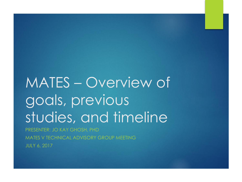# MATES – Overview of goals, previous studies, and timeline

PRESENTER: JO KAY GHOSH, PHD MATES V TECHNICAL ADVISORY GROUP MEETING JULY 6, 2017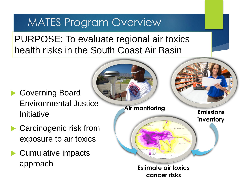## MATES Program Overview

PURPOSE: To evaluate regional air toxics health risks in the South Coast Air Basin

- Governing Board Environmental Justice **Initiative**
- Carcinogenic risk from exposure to air toxics
- ▶ Cumulative impacts

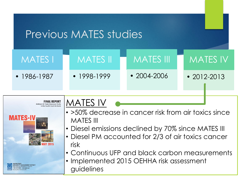







**JALITY MANAGEMENT DISTRICT** 



- >50% decrease in cancer risk from air toxics since MATES III
- Diesel emissions declined by 70% since MATES III
- Diesel PM accounted for 2/3 of air toxics cancer risk
- Continuous UFP and black carbon measurements
- Implemented 2015 OEHHA risk assessment guidelines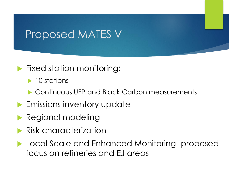### Proposed MATES V

#### **Fixed station monitoring:**

 $\blacktriangleright$  10 stations

- ▶ Continuous UFP and Black Carbon measurements
- **Emissions inventory update**
- **Regional modeling**
- **Risk characterization**
- **Local Scale and Enhanced Monitoring-proposed** focus on refineries and EJ areas